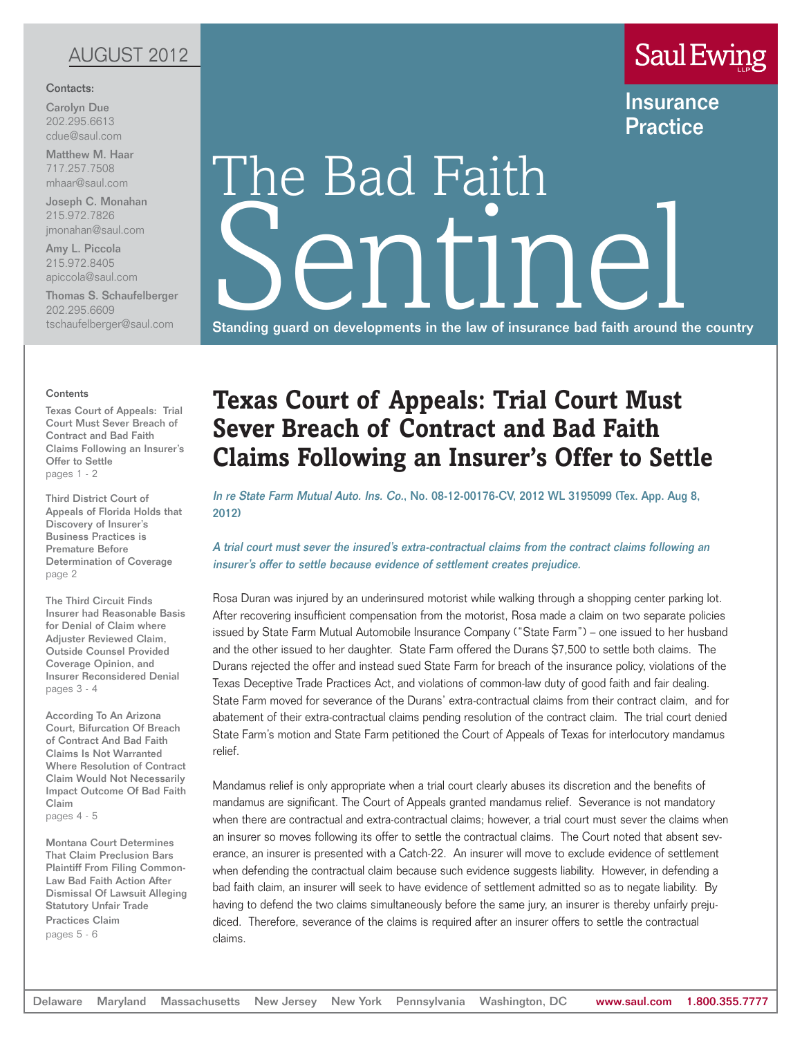## AUGUST 2012

#### Contacts:

Carolyn Due 202.295.6613 cdue@saul.com

Matthew M. Haar 717.257.7508 mhaar@saul.com

Joseph C. Monahan 215.972.7826 jmonahan@saul.com

Amy L. Piccola 215.972.8405 apiccola@saul.com

Thomas S. Schaufelberger 202.295.6609 tschaufelberger@saul.com

# The Bad Faith<br>Sentinel The Bad Faith

Standing guard on developments in the law of insurance bad faith around the country

#### **Contents**

Texas Court of Appeals: Trial Court Must Sever Breach of Contract and Bad Faith Claims Following an Insurer's Offer to Settle pages 1 - 2

Third District Court of Appeals of Florida Holds that Discovery of Insurer's Business Practices is Premature Before Determination of Coverage page 2

The Third Circuit Finds Insurer had Reasonable Basis for Denial of Claim where Adjuster Reviewed Claim, Outside Counsel Provided Coverage Opinion, and Insurer Reconsidered Denial pages 3 - 4

According To An Arizona Court, Bifurcation Of Breach of Contract And Bad Faith Claims Is Not Warranted Where Resolution of Contract Claim Would Not Necessarily Impact Outcome Of Bad Faith Claim pages 4 - 5

Montana Court Determines That Claim Preclusion Bars Plaintiff From Filing Common-Law Bad Faith Action After Dismissal Of Lawsuit Alleging Statutory Unfair Trade Practices Claim pages 5 - 6

## **Texas Court of Appeals: Trial Court Must Sever Breach of Contract and Bad Faith Claims Following an Insurer's Offer to Settle**

In re State Farm Mutual Auto. Ins. Co., No. 08-12-00176-CV, 2012 WL 3195099 (Tex. App. Aug 8, 2012)

A trial court must sever the insured's extra-contractual claims from the contract claims following an insurer's offer to settle because evidence of settlement creates prejudice.

Rosa Duran was injured by an underinsured motorist while walking through a shopping center parking lot. After recovering insufficient compensation from the motorist, Rosa made a claim on two separate policies issued by State Farm Mutual Automobile Insurance Company ("State Farm") – one issued to her husband and the other issued to her daughter. State Farm offered the Durans \$7,500 to settle both claims. The Durans rejected the offer and instead sued State Farm for breach of the insurance policy, violations of the Texas Deceptive Trade Practices Act, and violations of common-law duty of good faith and fair dealing. State Farm moved for severance of the Durans' extra-contractual claims from their contract claim, and for abatement of their extra-contractual claims pending resolution of the contract claim. The trial court denied State Farm's motion and State Farm petitioned the Court of Appeals of Texas for interlocutory mandamus relief.

Mandamus relief is only appropriate when a trial court clearly abuses its discretion and the benefits of mandamus are significant. The Court of Appeals granted mandamus relief. Severance is not mandatory when there are contractual and extra-contractual claims; however, a trial court must sever the claims when an insurer so moves following its offer to settle the contractual claims. The Court noted that absent severance, an insurer is presented with a Catch-22. An insurer will move to exclude evidence of settlement when defending the contractual claim because such evidence suggests liability. However, in defending a bad faith claim, an insurer will seek to have evidence of settlement admitted so as to negate liability. By having to defend the two claims simultaneously before the same jury, an insurer is thereby unfairly prejudiced. Therefore, severance of the claims is required after an insurer offers to settle the contractual claims.

Saul Ewing

Insurance Practice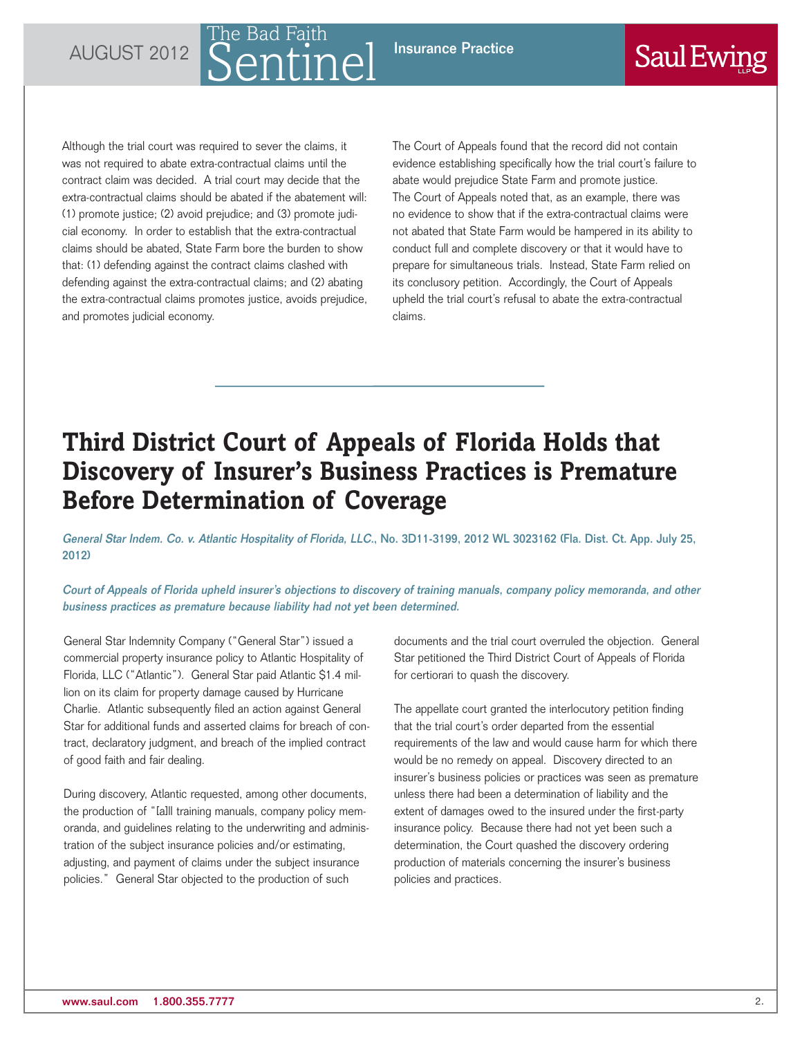### AUGUST 2012  $\bigcap_{n=1}^{\infty}$   $\bigcap_{n=1}^{\infty}$  Insurance Practice The Bad Faith<br>Sentinel he Bad Faith

# Saul Ewing

Although the trial court was required to sever the claims, it was not required to abate extra-contractual claims until the contract claim was decided. A trial court may decide that the extra-contractual claims should be abated if the abatement will: (1) promote justice; (2) avoid prejudice; and (3) promote judicial economy. In order to establish that the extra-contractual claims should be abated, State Farm bore the burden to show that: (1) defending against the contract claims clashed with defending against the extra-contractual claims; and (2) abating the extra-contractual claims promotes justice, avoids prejudice, and promotes judicial economy.

The Court of Appeals found that the record did not contain evidence establishing specifically how the trial court's failure to abate would prejudice State Farm and promote justice. The Court of Appeals noted that, as an example, there was no evidence to show that if the extra-contractual claims were not abated that State Farm would be hampered in its ability to conduct full and complete discovery or that it would have to prepare for simultaneous trials. Instead, State Farm relied on its conclusory petition. Accordingly, the Court of Appeals upheld the trial court's refusal to abate the extra-contractual claims.

## **Third District Court of Appeals of Florida Holds that Discovery of Insurer's Business Practices is Premature Before Determination of Coverage**

General Star Indem. Co. v. Atlantic Hospitality of Florida, LLC., No. 3D11-3199, 2012 WL 3023162 (Fla. Dist. Ct. App. July 25, 2012)

Court of Appeals of Florida upheld insurer's objections to discovery of training manuals, company policy memoranda, and other business practices as premature because liability had not yet been determined.

General Star Indemnity Company ("General Star") issued a commercial property insurance policy to Atlantic Hospitality of Florida, LLC ("Atlantic"). General Star paid Atlantic \$1.4 million on its claim for property damage caused by Hurricane Charlie. Atlantic subsequently filed an action against General Star for additional funds and asserted claims for breach of contract, declaratory judgment, and breach of the implied contract of good faith and fair dealing.

During discovery, Atlantic requested, among other documents, the production of "[a]ll training manuals, company policy memoranda, and guidelines relating to the underwriting and administration of the subject insurance policies and/or estimating, adjusting, and payment of claims under the subject insurance policies." General Star objected to the production of such

documents and the trial court overruled the objection. General Star petitioned the Third District Court of Appeals of Florida for certiorari to quash the discovery.

The appellate court granted the interlocutory petition finding that the trial court's order departed from the essential requirements of the law and would cause harm for which there would be no remedy on appeal. Discovery directed to an insurer's business policies or practices was seen as premature unless there had been a determination of liability and the extent of damages owed to the insured under the first-party insurance policy. Because there had not yet been such a determination, the Court quashed the discovery ordering production of materials concerning the insurer's business policies and practices.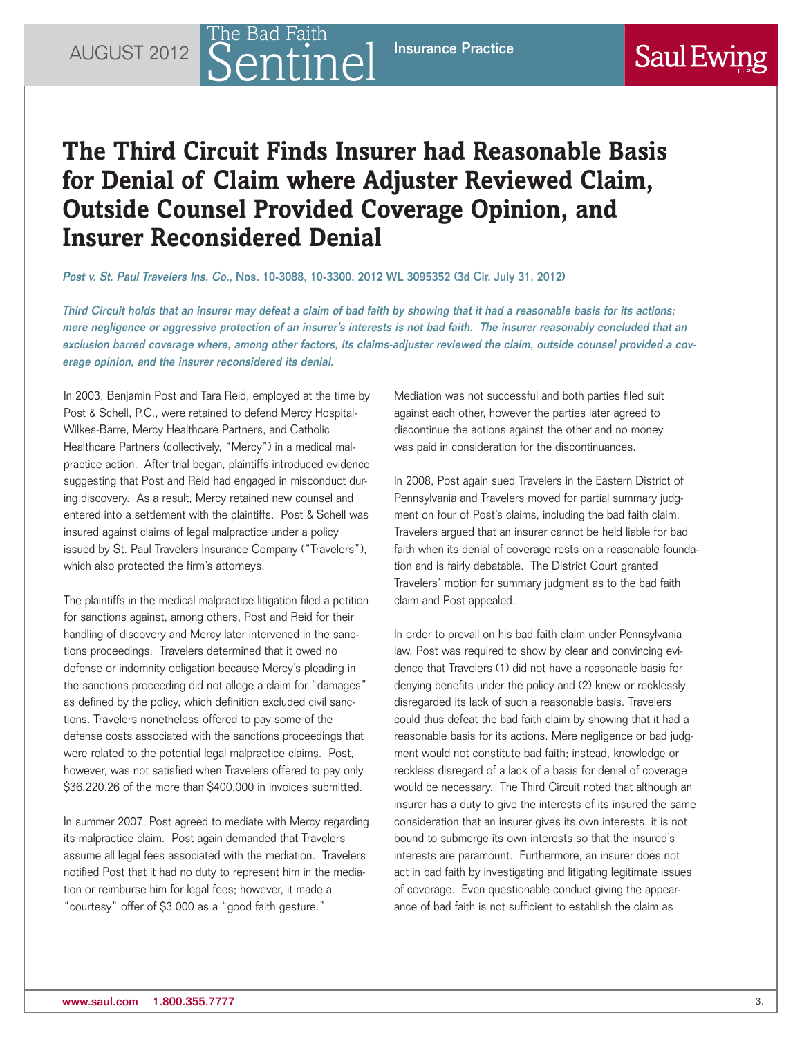## **Saul Ewing**

## **The Third Circuit Finds Insurer had Reasonable Basis for Denial of Claim where Adjuster Reviewed Claim, Outside Counsel Provided Coverage Opinion, and Insurer Reconsidered Denial**

Post v. St. Paul Travelers Ins. Co., Nos. 10-3088, 10-3300, 2012 WL 3095352 (3d Cir. July 31, 2012)

The Bad Faith<br>Sentinel

Third Circuit holds that an insurer may defeat a claim of bad faith by showing that it had a reasonable basis for its actions; mere negligence or aggressive protection of an insurer's interests is not bad faith. The insurer reasonably concluded that an exclusion barred coverage where, among other factors, its claims-adjuster reviewed the claim, outside counsel provided a coverage opinion, and the insurer reconsidered its denial.

In 2003, Benjamin Post and Tara Reid, employed at the time by Post & Schell, P.C., were retained to defend Mercy Hospital-Wilkes-Barre, Mercy Healthcare Partners, and Catholic Healthcare Partners (collectively, "Mercy") in a medical malpractice action. After trial began, plaintiffs introduced evidence suggesting that Post and Reid had engaged in misconduct during discovery. As a result, Mercy retained new counsel and entered into a settlement with the plaintiffs. Post & Schell was insured against claims of legal malpractice under a policy issued by St. Paul Travelers Insurance Company ("Travelers"), which also protected the firm's attorneys.

The plaintiffs in the medical malpractice litigation filed a petition for sanctions against, among others, Post and Reid for their handling of discovery and Mercy later intervened in the sanctions proceedings. Travelers determined that it owed no defense or indemnity obligation because Mercy's pleading in the sanctions proceeding did not allege a claim for "damages" as defined by the policy, which definition excluded civil sanctions. Travelers nonetheless offered to pay some of the defense costs associated with the sanctions proceedings that were related to the potential legal malpractice claims. Post, however, was not satisfied when Travelers offered to pay only \$36,220.26 of the more than \$400,000 in invoices submitted.

In summer 2007, Post agreed to mediate with Mercy regarding its malpractice claim. Post again demanded that Travelers assume all legal fees associated with the mediation. Travelers notified Post that it had no duty to represent him in the mediation or reimburse him for legal fees; however, it made a "courtesy" offer of \$3,000 as a "good faith gesture."

Mediation was not successful and both parties filed suit against each other, however the parties later agreed to discontinue the actions against the other and no money was paid in consideration for the discontinuances.

In 2008, Post again sued Travelers in the Eastern District of Pennsylvania and Travelers moved for partial summary judgment on four of Post's claims, including the bad faith claim. Travelers argued that an insurer cannot be held liable for bad faith when its denial of coverage rests on a reasonable foundation and is fairly debatable. The District Court granted Travelers' motion for summary judgment as to the bad faith claim and Post appealed.

In order to prevail on his bad faith claim under Pennsylvania law, Post was required to show by clear and convincing evidence that Travelers (1) did not have a reasonable basis for denying benefits under the policy and (2) knew or recklessly disregarded its lack of such a reasonable basis. Travelers could thus defeat the bad faith claim by showing that it had a reasonable basis for its actions. Mere negligence or bad judgment would not constitute bad faith; instead, knowledge or reckless disregard of a lack of a basis for denial of coverage would be necessary. The Third Circuit noted that although an insurer has a duty to give the interests of its insured the same consideration that an insurer gives its own interests, it is not bound to submerge its own interests so that the insured's interests are paramount. Furthermore, an insurer does not act in bad faith by investigating and litigating legitimate issues of coverage. Even questionable conduct giving the appearance of bad faith is not sufficient to establish the claim as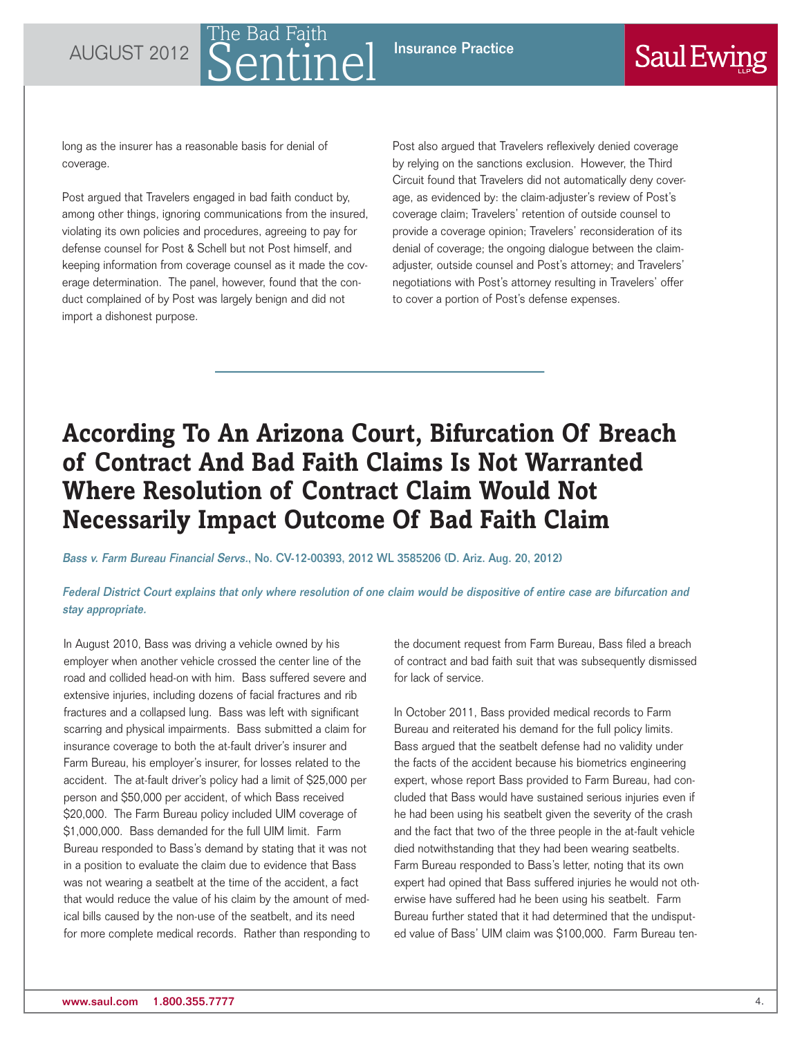#### AUGUST 2012  $\bigcap_{n=1}^{\infty}$   $\bigcap_{n=1}^{\infty}$  Insurance Practice The Bad Faith<br>Sentinel The Bad Faith

# **Saul Ewing**

long as the insurer has a reasonable basis for denial of coverage.

Post argued that Travelers engaged in bad faith conduct by, among other things, ignoring communications from the insured, violating its own policies and procedures, agreeing to pay for defense counsel for Post & Schell but not Post himself, and keeping information from coverage counsel as it made the coverage determination. The panel, however, found that the conduct complained of by Post was largely benign and did not import a dishonest purpose.

Post also argued that Travelers reflexively denied coverage by relying on the sanctions exclusion. However, the Third Circuit found that Travelers did not automatically deny coverage, as evidenced by: the claim-adjuster's review of Post's coverage claim; Travelers' retention of outside counsel to provide a coverage opinion; Travelers' reconsideration of its denial of coverage; the ongoing dialogue between the claimadjuster, outside counsel and Post's attorney; and Travelers' negotiations with Post's attorney resulting in Travelers' offer to cover a portion of Post's defense expenses.

## **According To An Arizona Court, Bifurcation Of Breach of Contract And Bad Faith Claims Is Not Warranted Where Resolution of Contract Claim Would Not Necessarily Impact Outcome Of Bad Faith Claim**

Bass v. Farm Bureau Financial Servs., No. CV-12-00393, 2012 WL 3585206 (D. Ariz. Aug. 20, 2012)

#### Federal District Court explains that only where resolution of one claim would be dispositive of entire case are bifurcation and stay appropriate.

In August 2010, Bass was driving a vehicle owned by his employer when another vehicle crossed the center line of the road and collided head-on with him. Bass suffered severe and extensive injuries, including dozens of facial fractures and rib fractures and a collapsed lung. Bass was left with significant scarring and physical impairments. Bass submitted a claim for insurance coverage to both the at-fault driver's insurer and Farm Bureau, his employer's insurer, for losses related to the accident. The at-fault driver's policy had a limit of \$25,000 per person and \$50,000 per accident, of which Bass received \$20,000. The Farm Bureau policy included UIM coverage of \$1,000,000. Bass demanded for the full UIM limit. Farm Bureau responded to Bass's demand by stating that it was not in a position to evaluate the claim due to evidence that Bass was not wearing a seatbelt at the time of the accident, a fact that would reduce the value of his claim by the amount of medical bills caused by the non-use of the seatbelt, and its need for more complete medical records. Rather than responding to

the document request from Farm Bureau, Bass filed a breach of contract and bad faith suit that was subsequently dismissed for lack of service.

In October 2011, Bass provided medical records to Farm Bureau and reiterated his demand for the full policy limits. Bass argued that the seatbelt defense had no validity under the facts of the accident because his biometrics engineering expert, whose report Bass provided to Farm Bureau, had concluded that Bass would have sustained serious injuries even if he had been using his seatbelt given the severity of the crash and the fact that two of the three people in the at-fault vehicle died notwithstanding that they had been wearing seatbelts. Farm Bureau responded to Bass's letter, noting that its own expert had opined that Bass suffered injuries he would not otherwise have suffered had he been using his seatbelt. Farm Bureau further stated that it had determined that the undisputed value of Bass' UIM claim was \$100,000. Farm Bureau ten-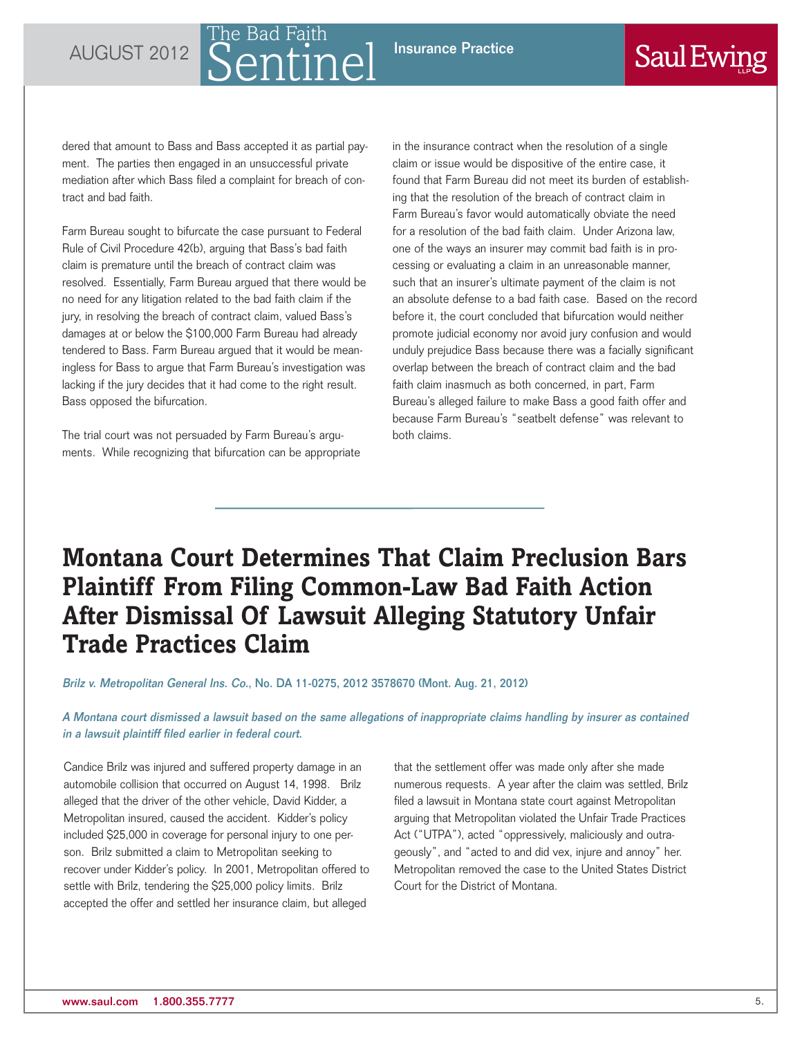#### AUGUST 2012  $\bigcap_{n=1}^{\infty}$   $\bigcap_{n=1}^{\infty}$  Insurance Practice The Bad Faith<br>Sentinel 'he Bad Faith

## **Saul Ewing**

dered that amount to Bass and Bass accepted it as partial payment. The parties then engaged in an unsuccessful private mediation after which Bass filed a complaint for breach of contract and bad faith.

Farm Bureau sought to bifurcate the case pursuant to Federal Rule of Civil Procedure 42(b), arguing that Bass's bad faith claim is premature until the breach of contract claim was resolved. Essentially, Farm Bureau argued that there would be no need for any litigation related to the bad faith claim if the jury, in resolving the breach of contract claim, valued Bass's damages at or below the \$100,000 Farm Bureau had already tendered to Bass. Farm Bureau argued that it would be meaningless for Bass to argue that Farm Bureau's investigation was lacking if the jury decides that it had come to the right result. Bass opposed the bifurcation.

The trial court was not persuaded by Farm Bureau's arguments. While recognizing that bifurcation can be appropriate in the insurance contract when the resolution of a single claim or issue would be dispositive of the entire case, it found that Farm Bureau did not meet its burden of establishing that the resolution of the breach of contract claim in Farm Bureau's favor would automatically obviate the need for a resolution of the bad faith claim. Under Arizona law, one of the ways an insurer may commit bad faith is in processing or evaluating a claim in an unreasonable manner, such that an insurer's ultimate payment of the claim is not an absolute defense to a bad faith case. Based on the record before it, the court concluded that bifurcation would neither promote judicial economy nor avoid jury confusion and would unduly prejudice Bass because there was a facially significant overlap between the breach of contract claim and the bad faith claim inasmuch as both concerned, in part, Farm Bureau's alleged failure to make Bass a good faith offer and because Farm Bureau's "seatbelt defense" was relevant to both claims.

## **Montana Court Determines That Claim Preclusion Bars Plaintiff From Filing Common-Law Bad Faith Action After Dismissal Of Lawsuit Alleging Statutory Unfair Trade Practices Claim**

Brilz v. Metropolitan General Ins. Co., No. DA 11-0275, 2012 3578670 (Mont. Aug. 21, 2012)

A Montana court dismissed a lawsuit based on the same allegations of inappropriate claims handling by insurer as contained in a lawsuit plaintiff filed earlier in federal court.

Candice Brilz was injured and suffered property damage in an automobile collision that occurred on August 14, 1998. Brilz alleged that the driver of the other vehicle, David Kidder, a Metropolitan insured, caused the accident. Kidder's policy included \$25,000 in coverage for personal injury to one person. Brilz submitted a claim to Metropolitan seeking to recover under Kidder's policy. In 2001, Metropolitan offered to settle with Brilz, tendering the \$25,000 policy limits. Brilz accepted the offer and settled her insurance claim, but alleged

that the settlement offer was made only after she made numerous requests. A year after the claim was settled, Brilz filed a lawsuit in Montana state court against Metropolitan arguing that Metropolitan violated the Unfair Trade Practices Act ("UTPA"), acted "oppressively, maliciously and outrageously", and "acted to and did vex, injure and annoy" her. Metropolitan removed the case to the United States District Court for the District of Montana.